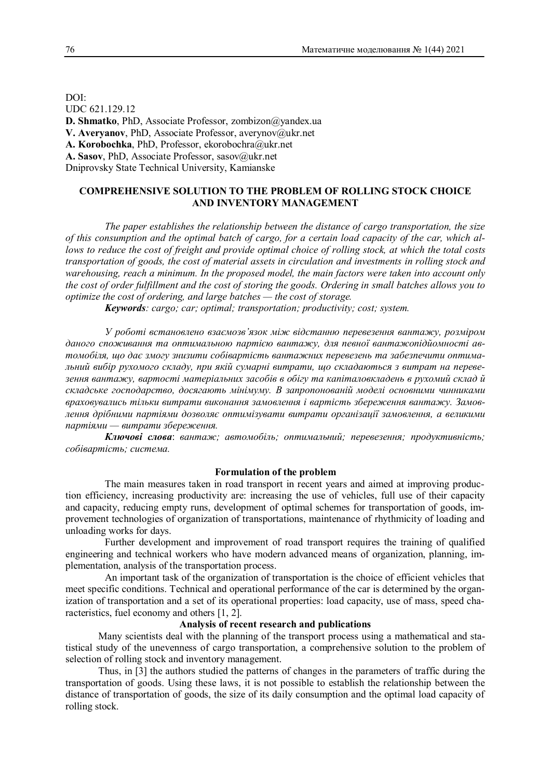DOI: UDC 621.129.12 **D. Shmatko**, PhD, Associate Professor, zombizon@yandex.ua **V. Averyanov**, PhD, Associate Professor, averynov@ukr.net A. Korobochka, PhD, Professor, ekorobochra@ukr.net A. Sasov, PhD, Associate Professor, sasov@ukr.net Dniprovsky State Technical University, Kamianske

# **COMPREHENSIVE SOLUTION TO THE PROBLEM OF ROLLING STOCK CHOICE AND INVENTORY MANAGEMENT**

*The paper establishes the relationship between the distance of cargo transportation, the size of this consumption and the optimal batch of cargo, for a certain load capacity of the car, which allows to reduce the cost of freight and provide optimal choice of rolling stock, at which the total costs transportation of goods, the cost of material assets in circulation and investments in rolling stock and warehousing, reach a minimum. In the proposed model, the main factors were taken into account only the cost of order fulfillment and the cost of storing the goods. Ordering in small batches allows you to optimize the cost of ordering, and large batches — the cost of storage.*

*Keywords: cargo; car; optimal; transportation; productivity; cost; system.*

*У роботі встановлено взаємозв'язок між відстанню перевезення вантажу, розміром даного споживання та оптимальною партією вантажу, для певної вантажопідйомності автомобіля, що дає змогу знизити собівартість вантажних перевезень та забезпечити оптимальний вибір рухомого складу, при якій сумарні витрати, що складаються з витрат на перевезення вантажу, вартості матеріальних засобів в обігу та капіталовкладень в рухомий склад й складське господарство, досягають мінімуму. В запропонованій моделі основними чинниками враховувались тільки витрати виконання замовлення і вартість збереження вантажу. Замовлення дрібними партіями дозволяє оптимізувати витрати організації замовлення, а великими партіями — витрати збереження.*

*Ключові слова*: *вантаж; автомобіль; оптимальний; перевезення; продуктивність; собівартість; система.*

### **Formulation of the problem**

The main measures taken in road transport in recent years and aimed at improving production efficiency, increasing productivity are: increasing the use of vehicles, full use of their capacity and capacity, reducing empty runs, development of optimal schemes for transportation of goods, improvement technologies of organization of transportations, maintenance of rhythmicity of loading and unloading works for days.

Further development and improvement of road transport requires the training of qualified engineering and technical workers who have modern advanced means of organization, planning, implementation, analysis of the transportation process.

An important task of the organization of transportation is the choice of efficient vehicles that meet specific conditions. Technical and operational performance of the car is determined by the organization of transportation and a set of its operational properties: load capacity, use of mass, speed characteristics, fuel economy and others [1, 2].

## **Analysis of recent research and publications**

Many scientists deal with the planning of the transport process using a mathematical and statistical study of the unevenness of cargo transportation, a comprehensive solution to the problem of selection of rolling stock and inventory management.

Thus, in [3] the authors studied the patterns of changes in the parameters of traffic during the transportation of goods. Using these laws, it is not possible to establish the relationship between the distance of transportation of goods, the size of its daily consumption and the optimal load capacity of rolling stock.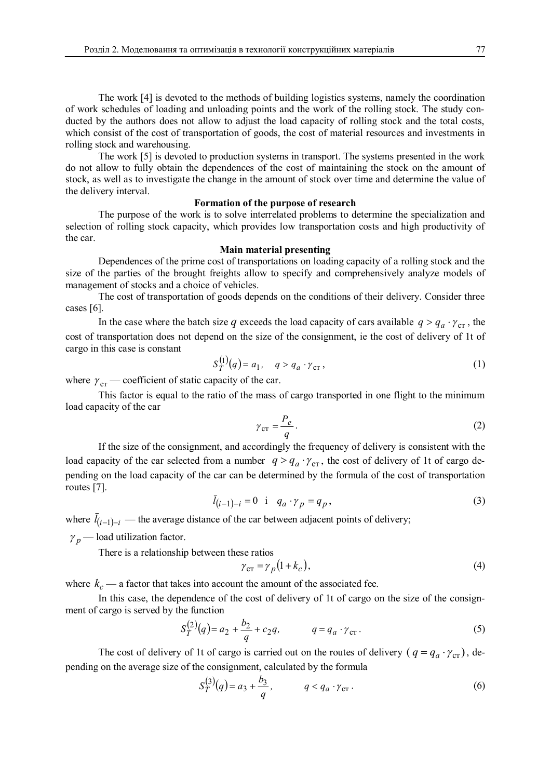The work [4] is devoted to the methods of building logistics systems, namely the coordination of work schedules of loading and unloading points and the work of the rolling stock. The study conducted by the authors does not allow to adjust the load capacity of rolling stock and the total costs, which consist of the cost of transportation of goods, the cost of material resources and investments in rolling stock and warehousing.

The work [5] is devoted to production systems in transport. The systems presented in the work do not allow to fully obtain the dependences of the cost of maintaining the stock on the amount of stock, as well as to investigate the change in the amount of stock over time and determine the value of the delivery interval.

## **Formation of the purpose of research**

The purpose of the work is to solve interrelated problems to determine the specialization and selection of rolling stock capacity, which provides low transportation costs and high productivity of the car.

### **Main material presenting**

Dependences of the prime cost of transportations on loading capacity of a rolling stock and the size of the parties of the brought freights allow to specify and comprehensively analyze models of management of stocks and a choice of vehicles.

The cost of transportation of goods depends on the conditions of their delivery. Consider three cases [6].

In the case where the batch size *q* exceeds the load capacity of cars available  $q > q_a \cdot \gamma_{cr}$ , the cost of transportation does not depend on the size of the consignment, ie the cost of delivery of 1t of cargo in this case is constant

$$
S_T^{(1)}(q) = a_1, \quad q > q_a \cdot \gamma_{cr}, \tag{1}
$$

where  $\gamma_{cr}$  — coefficient of static capacity of the car.

This factor is equal to the ratio of the mass of cargo transported in one flight to the minimum load capacity of the car

$$
\gamma_{\rm cr} = \frac{P_e}{q}.\tag{2}
$$

If the size of the consignment, and accordingly the frequency of delivery is consistent with the load capacity of the car selected from a number  $q > q_a \cdot \gamma_{cr}$ , the cost of delivery of 1t of cargo depending on the load capacity of the car can be determined by the formula of the cost of transportation routes [7].

$$
\bar{l}_{(i-1)-i} = 0 \quad \text{if} \quad q_a \cdot \gamma_p = q_p,\tag{3}
$$

where  $\bar{l}_{(i-1)-i}$  — the average distance of the car between adjacent points of delivery;

 $\gamma_p$  — load utilization factor.

There is a relationship between these ratios

$$
\gamma_{\rm cr} = \gamma_p (1 + k_c),\tag{4}
$$

where  $k_c$  — a factor that takes into account the amount of the associated fee.

In this case, the dependence of the cost of delivery of 1t of cargo on the size of the consignment of cargo is served by the function

$$
S_T^{(2)}(q) = a_2 + \frac{b_2}{q} + c_2 q, \qquad q = q_a \cdot \gamma_{cr}.
$$
 (5)

The cost of delivery of 1t of cargo is carried out on the routes of delivery  $(q = q_a \cdot \gamma_{cr})$ , depending on the average size of the consignment, calculated by the formula

$$
S_T^{(3)}(q) = a_3 + \frac{b_3}{q}, \qquad q < q_a \cdot \gamma_{\text{cr}} \,. \tag{6}
$$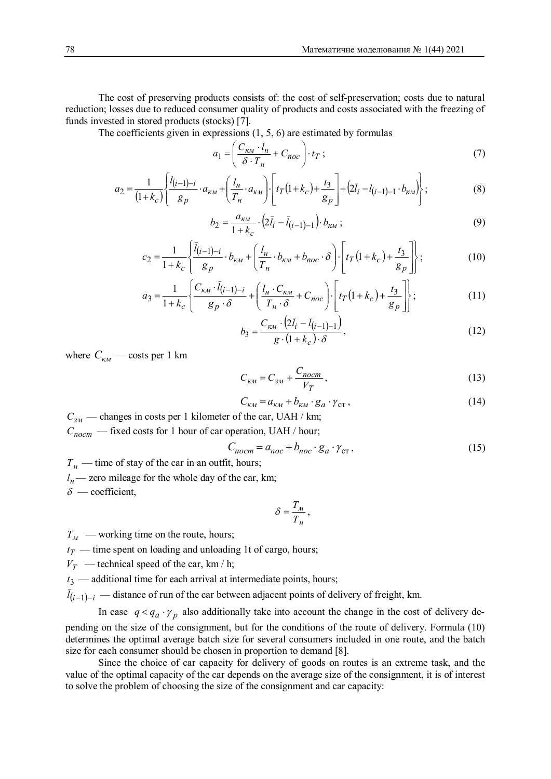The cost of preserving products consists of: the cost of self-preservation; costs due to natural reduction; losses due to reduced consumer quality of products and costs associated with the freezing of funds invested in stored products (stocks) [7].

The coefficients given in expressions (1, 5, 6) are estimated by formulas

$$
a_1 = \left(\frac{C_{\kappa M} \cdot l_H}{\delta \cdot T_H} + C_{\text{noc}}\right) \cdot t_T \tag{7}
$$

$$
a_2 = \frac{1}{(1+k_c)} \left\{ \frac{l_{(i-1)-i}}{g_p} \cdot a_{\kappa M} + \left(\frac{l_{\mu}}{T_{\mu}} \cdot a_{\kappa M}\right) \cdot \left[ t_T(1+k_c) + \frac{t_3}{g_p} \right] + \left(2\bar{l}_i - l_{(i-1)-1} \cdot b_{\kappa M}\right) \right\};
$$
(8)

$$
b_2 = \frac{a_{\kappa u}}{1 + k_c} \cdot (2\bar{l}_i - \bar{l}_{(i-1)-1}) \cdot b_{\kappa u} ; \tag{9}
$$

$$
c_2 = \frac{1}{1+k_c} \left\{ \frac{\bar{l}_{(i-1)-i}}{g_p} \cdot b_{\kappa M} + \left( \frac{l_{\mu}}{T_n} \cdot b_{\kappa M} + b_{\rho \rho c} \cdot \delta \right) \cdot \left[ t_T \left( 1+k_c \right) + \frac{t_3}{g_p} \right] \right\};
$$
(10)

$$
a_3 = \frac{1}{1+k_c} \left\{ \frac{C_{\kappa\mu} \cdot \bar{l}_{(i-1)-i}}{g_p \cdot \delta} + \left( \frac{l_\mu \cdot C_{\kappa\mu}}{T_\mu \cdot \delta} + C_{noc} \right) \cdot \left[ t_T \left( 1+k_c \right) + \frac{t_3}{g_p} \right] \right\};
$$
(11)

$$
b_3 = \frac{C_{\kappa\mu} \cdot (2\bar{l}_i - \bar{l}_{(i-1)-1})}{g \cdot (1 + k_c) \cdot \delta},
$$
\n(12)

where  $C_{kM}$  — costs per 1 km

$$
C_{\kappa} = C_{3M} + \frac{C_{norm}}{V_T},\tag{13}
$$

$$
C_{\kappa\mu} = a_{\kappa\mu} + b_{\kappa\mu} \cdot g_a \cdot \gamma_{\text{cr}} \,, \tag{14}
$$

*Сзм* — changes in costs per 1 kilometer of the car, UAH / km; *Спост* — fixed costs for 1 hour of car operation, UAH / hour;

$$
C_{nocm} = a_{noc} + b_{noc} \cdot g_a \cdot \gamma_{cr} \,, \tag{15}
$$

*Т<sub>н</sub>* — time of stay of the car in an outfit, hours;

 $l_{\mu}$ — zero mileage for the whole day of the car, km;

 $\delta$  — coefficient.

$$
\delta=\frac{T_{\scriptscriptstyle M}}{T_{\scriptscriptstyle H}}\,,
$$

 $T_M$  — working time on the route, hours;

 $t_T$  — time spent on loading and unloading 1t of cargo, hours;

 $V_T$  — technical speed of the car, km / h;

 $t_3$  — additional time for each arrival at intermediate points, hours;

 $l_{(i-1)-i}$  — distance of run of the car between adjacent points of delivery of freight, km.

In case  $q < q_a \cdot \gamma_p$  also additionally take into account the change in the cost of delivery depending on the size of the consignment, but for the conditions of the route of delivery. Formula (10) determines the optimal average batch size for several consumers included in one route, and the batch size for each consumer should be chosen in proportion to demand [8].

Since the choice of car capacity for delivery of goods on routes is an extreme task, and the value of the optimal capacity of the car depends on the average size of the consignment, it is of interest to solve the problem of choosing the size of the consignment and car capacity: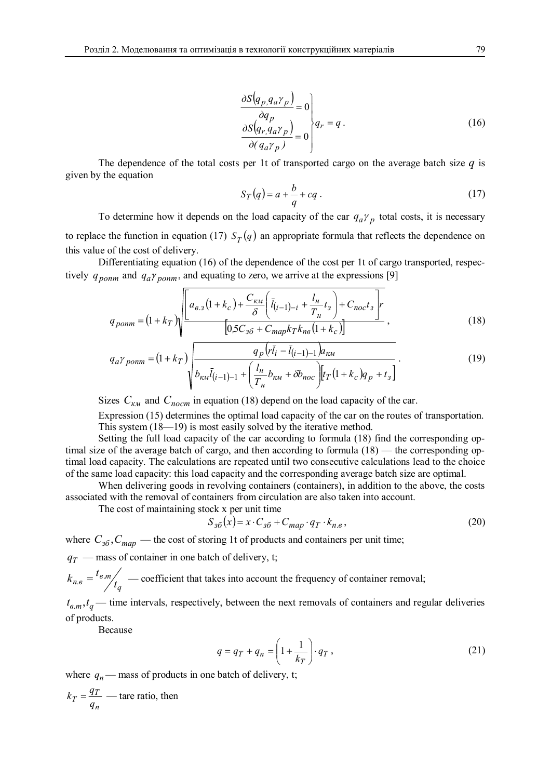$$
\frac{\partial S(q_p, q_a \gamma_p)}{\partial q_p} = 0
$$
\n
$$
\frac{\partial S(q_r, q_a \gamma_p)}{\partial (q_a \gamma_p)} = 0
$$
\n
$$
(16)
$$

The dependence of the total costs per 1t of transported cargo on the average batch size  $q$  is given by the equation

$$
S_T(q) = a + \frac{b}{q} + cq \tag{17}
$$

To determine how it depends on the load capacity of the car  $q_a \gamma_p$  total costs, it is necessary to replace the function in equation (17)  $S_T(q)$  an appropriate formula that reflects the dependence on this value of the cost of delivery.

Differentiating equation (16) of the dependence of the cost per 1t of cargo transported, respectively  $q_{\text{p}_{\text{O}}}/q_{\text{p}_{\text{O}}}/q_{\text{p}_{\text{O}}}/q_{\text{p}_{\text{O}}}/q_{\text{P}_{\text{O}}}/q_{\text{P}_{\text{O}}}/q_{\text{P}_{\text{O}}}/q_{\text{P}_{\text{O}}}/q_{\text{P}_{\text{O}}}/q_{\text{P}_{\text{O}}}/q_{\text{P}_{\text{O}}}/q_{\text{P}_{\text{O}}}/q_{\text{P}_{\text{O}}}/q_{\text{P}_{\text{O}}}/q_{\text{P}_{\text{O}}}/q_{\text{P}_{\text{O}}}/q_{\text{$ 

$$
q_{\text{pomm}} = (1 + k_T) \sqrt{\frac{\left[a_{\text{B}}(1 + k_c) + \frac{C_{\kappa M}}{\delta} \left(\bar{l}_{(i-1)-i} + \frac{l_{\mu}}{T_{\mu}} t_3\right) + C_{\text{noc}} t_3\right] r}{\left[0.5 C_{3\delta} + C_{\text{map}} k_T k_{\text{ns}} (1 + k_c)\right]}} \,,\tag{18}
$$

$$
q_{a}\gamma_{\text{p}_{\text{on}}m} = (1 + k_{T}) \sqrt{\frac{q_{p}(r\bar{l}_{i} - \bar{l}_{(i-1)-1})a_{\kappa\mu}}{b_{\kappa\mu}\bar{l}_{(i-1)-1} + \left(\frac{l_{\mu}}{T_{\mu}}b_{\kappa\mu} + \delta b_{\text{noc}}\right)\left[t_{T}(1 + k_{c})q_{p} + t_{3}\right]}}.
$$
(19)

Sizes  $C_{kM}$  and  $C_{nocm}$  in equation (18) depend on the load capacity of the car.

Expression (15) determines the optimal load capacity of the car on the routes of transportation. This system (18—19) is most easily solved by the iterative method.

Setting the full load capacity of the car according to formula (18) find the corresponding optimal size of the average batch of cargo, and then according to formula (18) — the corresponding optimal load capacity. The calculations are repeated until two consecutive calculations lead to the choice of the same load capacity: this load capacity and the corresponding average batch size are optimal.

When delivering goods in revolving containers (containers), in addition to the above, the costs associated with the removal of containers from circulation are also taken into account.

The cost of maintaining stock x per unit time

$$
S_{3\delta}(x) = x \cdot C_{3\delta} + C_{map} \cdot q_T \cdot k_{n,\epsilon},\tag{20}
$$

where  $C_{36}$ ,  $C_{man}$  — the cost of storing 1t of products and containers per unit time;

 $q_T$  — mass of container in one batch of delivery, t;

$$
k_{n,e} = \frac{t_{e,m}}{t_q}
$$
 — coefficient that takes into account the frequency of container removal;

 $t_{\epsilon,m}, t_q$  — time intervals, respectively, between the next removals of containers and regular deliveries of products.

Because

$$
q = q_T + q_n = \left(1 + \frac{1}{k_T}\right) \cdot q_T,
$$
\n(21)

where  $q_n$ — mass of products in one batch of delivery, t;

$$
k_T = \frac{q_T}{q_n}
$$
 — tare ratio, then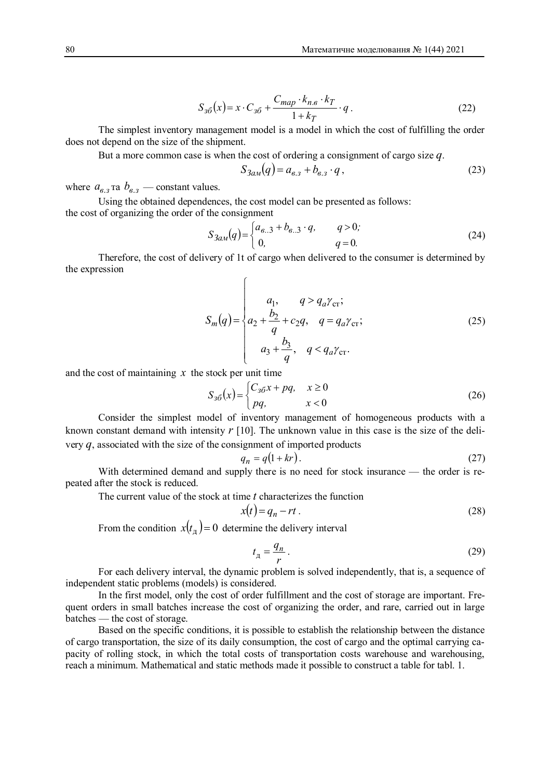$$
S_{36}(x) = x \cdot C_{36} + \frac{C_{map} \cdot k_{n.6} \cdot k_T}{1 + k_T} \cdot q \tag{22}
$$

The simplest inventory management model is a model in which the cost of fulfilling the order does not depend on the size of the shipment.

But a more common case is when the cost of ordering a consignment of cargo size *q*.

$$
S_{3a}q(q) = a_{6,3} + b_{6,3} \cdot q \,, \tag{23}
$$

where  $a_{\mathbf{g},\mathbf{3}}$  ra  $b_{\mathbf{g},\mathbf{3}}$  — constant values.

Using the obtained dependences, the cost model can be presented as follows: the cost of organizing the order of the consignment

$$
S_{3aM}(q) = \begin{cases} a_{\mathbf{6..3}} + b_{\mathbf{6..3}} \cdot q, & q > 0; \\ 0, & q = 0. \end{cases}
$$
 (24)

Therefore, the cost of delivery of 1t of cargo when delivered to the consumer is determined by the expression ì

$$
S_{m}(q) = \begin{cases} a_{1}, & q > q_{a} \gamma_{\text{cr}}; \\ a_{2} + \frac{b_{2}}{q} + c_{2}q, & q = q_{a} \gamma_{\text{cr}}; \\ a_{3} + \frac{b_{3}}{q}, & q < q_{a} \gamma_{\text{cr}}. \end{cases}
$$
(25)

and the cost of maintaining  $x$  the stock per unit time

$$
S_{3\delta}(x) = \begin{cases} C_{3\delta}x + pq, & x \ge 0 \\ pq, & x < 0 \end{cases}
$$
 (26)

Consider the simplest model of inventory management of homogeneous products with a known constant demand with intensity *r* [10]. The unknown value in this case is the size of the delivery *q*, associated with the size of the consignment of imported products

$$
q_n = q(1 + kr). \tag{27}
$$

With determined demand and supply there is no need for stock insurance — the order is repeated after the stock is reduced.

The current value of the stock at time *t* characterizes the function

$$
x(t) = q_n - rt. \tag{28}
$$

From the condition  $x(t_{\pi}) = 0$  determine the delivery interval

$$
t_{\rm A} = \frac{q_n}{r} \,. \tag{29}
$$

For each delivery interval, the dynamic problem is solved independently, that is, a sequence of independent static problems (models) is considered.

In the first model, only the cost of order fulfillment and the cost of storage are important. Frequent orders in small batches increase the cost of organizing the order, and rare, carried out in large batches — the cost of storage.

Based on the specific conditions, it is possible to establish the relationship between the distance of cargo transportation, the size of its daily consumption, the cost of cargo and the optimal carrying capacity of rolling stock, in which the total costs of transportation costs warehouse and warehousing, reach a minimum. Mathematical and static methods made it possible to construct a table for tabl. 1.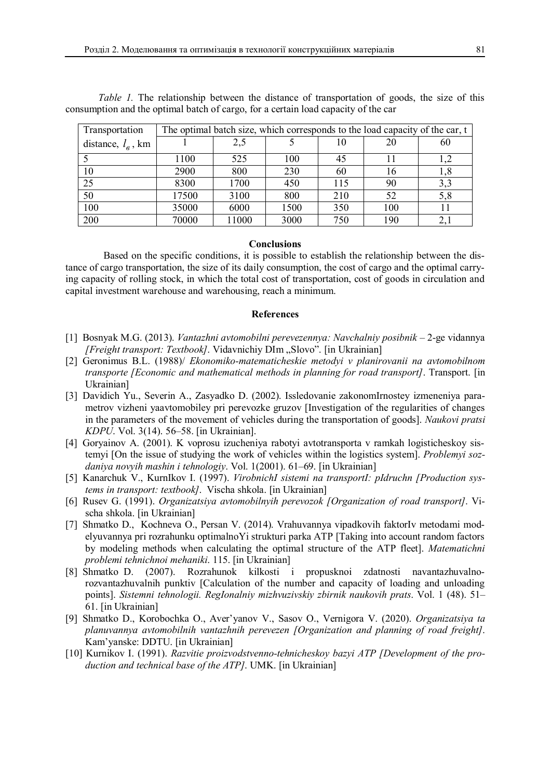| Transportation       | The optimal batch size, which corresponds to the load capacity of the car, t |       |      |     |     |     |
|----------------------|------------------------------------------------------------------------------|-------|------|-----|-----|-----|
| distance, $l_e$ , km |                                                                              | 2,5   |      | 10  |     | 60  |
|                      | 1100                                                                         | 525   | 100  | 45  |     | 1,2 |
| 10                   | 2900                                                                         | 800   | 230  | 60  | 16  | 1,8 |
| 25                   | 8300                                                                         | 1700  | 450  | 115 | 90  | 3,3 |
| 50                   | 17500                                                                        | 3100  | 800  | 210 | 52  | 5,8 |
| 100                  | 35000                                                                        | 6000  | 1500 | 350 | 100 |     |
| 200                  | 70000                                                                        | 11000 | 3000 | 750 | 190 |     |

*Table 1.* The relationship between the distance of transportation of goods, the size of this consumption and the optimal batch of cargo, for a certain load capacity of the car

#### **Conclusions**

Based on the specific conditions, it is possible to establish the relationship between the distance of cargo transportation, the size of its daily consumption, the cost of cargo and the optimal carrying capacity of rolling stock, in which the total cost of transportation, cost of goods in circulation and capital investment warehouse and warehousing, reach a minimum.

#### **References**

- [1] Bosnyak M.G. (2013). *Vantazhnі avtomobіlnі perevezennya: Navchalniy posіbnik* 2-ge vidannya *[Freight transport: Textbook]*. Vidavnichiy DIm "Slovo". [in Ukrainian]
- [2] Geronimus B.L. (1988)/ *Ekonomiko-matematicheskie metodyi v planirovanii na avtomobilnom transporte [Economic and mathematical methods in planning for road transport]*. Transport. [in Ukrainian]
- [3] Davidich Yu., Severin A., Zasyadko D. (2002). Issledovanie zakonomIrnostey izmeneniya parametrov vizheni yaavtomobiley pri perevozke gruzov [Investigation of the regularities of changes in the parameters of the movement of vehicles during the transportation of goods]. *Naukovi pratsi KDPU*. Vol. 3(14). 56–58. [in Ukrainian].
- [4] Goryainov A. (2001). K voprosu izucheniya rabotyi avtotransporta v ramkah logisticheskoy sistemyi [On the issue of studying the work of vehicles within the logistics system]. *Problemyi sozdaniya novyih mashin i tehnologiy*. Vol. 1(2001). 61–69. [in Ukrainian]
- [5] Kanarchuk V., KurnIkov I. (1997). *VirobnichI sistemi na transportI: pIdruchn [Production systems in transport: textbook]*. Vischa shkola. [in Ukrainian]
- [6] Rusev G. (1991). *Organizatsiya avtomobilnyih perevozok [Organization of road transport]*. Vischa shkola. [in Ukrainian]
- [7] Shmatko D., Kochneva O., Persan V. (2014). Vrahuvannya vipadkovih faktorIv metodami modelyuvannya pri rozrahunku optimalnoYi strukturi parka ATP [Taking into account random factors by modeling methods when calculating the optimal structure of the ATP fleet]. *Matematichni problemi tehnichnoi mehaniki*. 115. [in Ukrainian]
- [8] Shmatko D. (2007). Rozrahunok kilkosti i propusknoi zdatnosti navantazhuvalnorozvantazhuvalnih punktiv [Calculation of the number and capacity of loading and unloading points]. *Sistemni tehnologii. RegIonalniy mizhvuzivskiy zbirnik naukovih prats*. Vol. 1 (48). 51– 61. [in Ukrainian]
- [9] Shmatko D., Korobochka O., Aver'yanov V., Sasov O., Vernigora V. (2020). *Organizatsiya ta planuvannya avtomobilnih vantazhnih perevezen [Organization and planning of road freight]*. Kam'yanske: DDTU. [in Ukrainian]
- [10] Kurnikov I. (1991). *Razvitie proizvodstvenno-tehnicheskoy bazyi ATP [Development of the production and technical base of the ATP]*. UMK. [in Ukrainian]